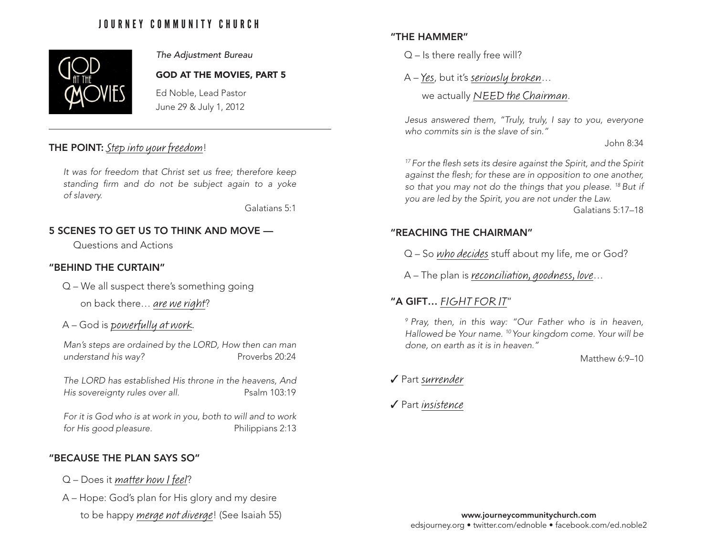# JOURNEY COMMUNITY CHURCH



#### *The Adjustment Bureau*

#### GOD AT THE MOVIES, PART 5

Ed Noble, Lead Pastor June 29 & July 1, 2012

## THE POINT: Step into your freedom!

*It was for freedom that Christ set us free; therefore keep standing firm and do not be subject again to a yoke of slavery.*

Galatians 5:1

# 5 SCENES TO GET US TO THINK AND MOVE —

Questions and Actions

### "BEHIND THE CURTAIN"

Q – We all suspect there's something going

on back there… are we right?

A – God is powerfully at work.

*Man's steps are ordained by the LORD, How then can man understand his way?* Proverbs 20:24

*The LORD has established His throne in the heavens, And His sovereignty rules over all.* Psalm 103:19

*For it is God who is at work in you, both to will and to work for His good pleasure.* Philippians 2:13

### "BECAUSE THE PLAN SAYS SO"

- $Q$  Does it matter how I feel?
- A Hope: God's plan for His glory and my desire
	- to be happy merge not diverge! (See Isaiah 55)

## "THE HAMMER"

 $Q$  – Is there really free will?

A – Yes, but it's seriously broken…

we actually NEED the Chairman.

*Jesus answered them, "Truly, truly, I say to you, everyone who commits sin is the slave of sin."*

John 8:34

*17 For the flesh sets its desire against the Spirit, and the Spirit against the flesh; for these are in opposition to one another, so that you may not do the things that you please. 18 But if you are led by the Spirit, you are not under the Law.*

Galatians 5:17–18

# "REACHING THE CHAIRMAN"

Q – So who decides stuff about my life, me or God?

A – The plan is reconciliation, goodness, love…

# "A GIFT… FIGHT FOR IT"

*9 Pray, then, in this way: "Our Father who is in heaven, Hallowed be Your name. 10 Your kingdom come. Your will be done, on earth as it is in heaven."*

Matthew 6:9–10

✔ Part surrender

 $\sqrt{\ }$  Part insistence